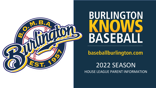

# **BURLINGTON BASEBAL**

baseballburlington.com

2022 SEASON HOUSE LEAGUE PARENT INFORMATION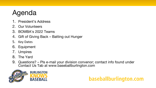# Agenda

- 1. President's Address
- 2. Our Volunteers
- 3. BOMBA's 2022 Teams
- 4. Gift of Giving Back Batting out Hunger
- 5. Key Dates
- 6. Equipment
- 7. Umpires
- 8. The Yard
- 9. Questions? Pls e-mail your division convenor; contact info found under Contact Us Tab at www.baseballburlington.com

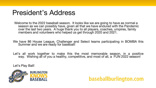#### President's Address

Welcome to the 2022 baseball season. It looks like we are going to have as normal a season as we can possibly have, given all that we have endured with the Pandemic over the last two years. A huge thank you to all players, coaches, umpires, family members and volunteers who helped us get through 2020 and 2021.

We have 86 House League, Challenger and Select teams participating in BOMBA this Summer and we are ready for baseball!

Let's all work together to make this the most memorable season, in a positive way. Wishing all of you a healthy, competitive, and most of all, a FUN 2022 season!

Let's Play Ball!

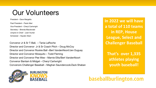#### Our Volunteers

President – Dave Margetts Past President – Paolo Mari Vice President – Cheryl Cartwright Secretary – Brenda Macdonald Umpire-in-Chief – Josh Hunter Scheduler – Hayden Stam

Convenor Jr & Sr T-Ball, – Tania LaRoche Director and Convenor Jr & Sr Coach Pitch – Doug McCoy Director and Convenor Rookie Ball –Bert VandenNoort/Jen Duguay Director and Convenor Mosquito – Todd Fleming Director and Convenor Pee Wee – Marnie Ellis/Bert VandenNoort Convenor Bantam & Midget – Cheryl Cartwright Convenors Challenger Baseball – Meghan Saundercook/Zack Shaban



**In 2022 we will have a total of 110 teams in REP, House League, Select and Challenger Baseball**

**That's over 1,335 athletes playing youth baseball!**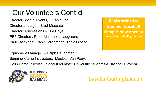#### Our Volunteers Cont'd

Director Special Events, – Tania Lee Director at Large – Brad Moscato Director Concessions – Sue Boye REP Directors: Peter Maj, Linda Laugesen, Paul Eastwood, Frank Cardamone, Tania Gibson

Equipment Manager – Ralph Baughman Summer Camp Instructors: Maclean Van Raay,

Colin Heron, Nicolas Velocci (McMaster University Students & Baseball Players)



**Registration for Summer Baseball Camp is now open at www.baseballburlington.com**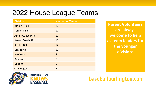### 2022 House League Teams

| <b>Division</b>           | <b>Number of Teams</b> |
|---------------------------|------------------------|
| <b>Junior T-Ball</b>      | 10                     |
| <b>Senior T-Ball</b>      | 10                     |
| <b>Junior Coach Pitch</b> | 10                     |
| <b>Senior Coach Pitch</b> | 10                     |
| <b>Rookie Ball</b>        | 14                     |
| Mosquito                  | 10                     |
| <b>Pee Wee</b>            | 8                      |
| <b>Bantam</b>             | $\overline{7}$         |
| <b>Midget</b>             | 5                      |
| Challenger                | $\overline{2}$         |

**Parent Volunteers are always welcome to help as team leaders for the younger divisions**



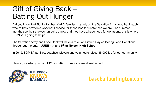#### Gift of Giving Back – Batting Out Hunger

Did you know that Burlington has MANY families that rely on the Salvation Army food bank each week? They provide a wonderful service for those less fortunate than we are. The summer months see their shelves run quite empty and they have a huge need for donations, this is where BOMBA is going to help!

The Salvation Army and Food Bank will have a truck on Picture Day collecting Food Donations throughout the day. – **JUNE 4th and 5th at Nelson High School**

In 2019, BOMBA families, coaches, players and volunteers raised 35,000 lbs for our community!

Please give what you can. BIG or SMALL donations are all welcomed.



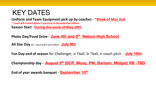#### KEY DATES

**Uniform and Team Equipment pick up by coaches - \*Week of May 2nd \* Coach will contact player's parent(s) in the week that follows Season Start** – **During the week of May 10th**

**Photo Day/Food Drive - June 4th and 5th Nelson High School**

**All Star Day** (Sr. coach pitch and older) – **July 9th**

**Fun Day-end of season** for Challenger, Jr Tball, Sr Tball, Jr coach pitch - **July 16th**

**Championship day - August 6th (SCP, Mosq. PW, Bantam, Midget) RB -TBD**

**End of year awards banquet - September 10th**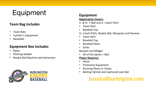## Equipment **Equipment**

#### **Team Bag Includes**

- Team Bats
- Catcher's Equipment
- Baseballs

#### **Equipment Box Includes**

- Bases
- Pitching Rubber
- Rookie Ball Machine and Generator



#### **Registration Covers:**

- Jr. & Sr. T-Ball and Jr. Coach Pitch
- Team Shirt
- Baseball Cap
- Sr. Coach Pitch, Rookie Ball, Mosquito and Peewee
- Team Shirt
- Baseball Cap
- Baseball Pants
- Socks

Bantam and Midget

• All of the above  $+$  Belt

#### **Player Requires:**

- Glove
- Protective Equipment
- Running Shoes or Cleats
- Batting Helmet and (optional) own Bat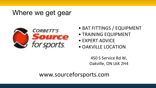#### Where we get gear



- BAT FITTINGS / EQUIPMENT
- TRAINING EQUIPMENT
- EXPERT ADVICE
- OAKVILLE LOCATION

450 S Service Rd W, Oakville, ON L6K 2H4

www.sourceforsports.com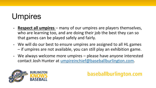# Umpires

- **Respect all umpires**  many of our umpires are players themselves, who are learning too, and are doing their job the best they can so that games can be played safely and fairly.
- We will do our best to ensure umpires are assigned to all HL games – if umpires are not available, you can still play an exhibition game.
- We always welcome more umpires please have anyone interested contact Josh Hunter at [umpireinchief@baseballburlington.com.](mailto:umpireinchief@baseballburlington.com)



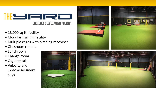#### THE SAIR **BASEBALL DEVELOPMENT FACILITY**

- 18,000 sq ft. facility
- Modular training facility
- Multiple cages with pitching machines
- Classroom rentals
- Lunchroom
- Change room
- Cage rentals
- Velocity and video assessment bays